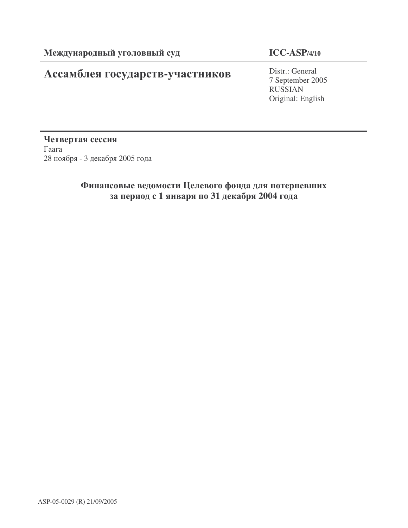## Ассамблея государств-участников

## **ICC-ASP/4/10**

Distr.: General 7 September 2005 RUSSIAN Original: English

Четвертая сессия  $\Gamma$ аага 28 ноября - 3 декабря 2005 года

## Финансовые ведомости Целевого фонда для потерпевших за период с 1 января по 31 декабря 2004 года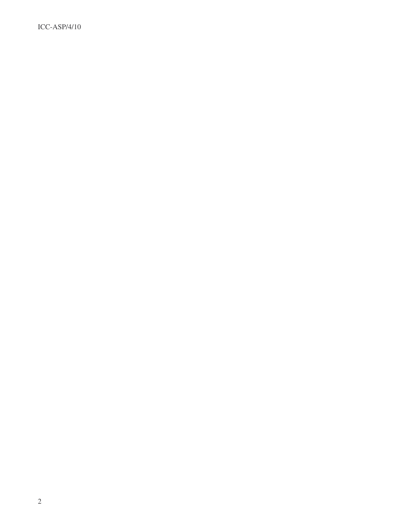ICC-ASP/4/10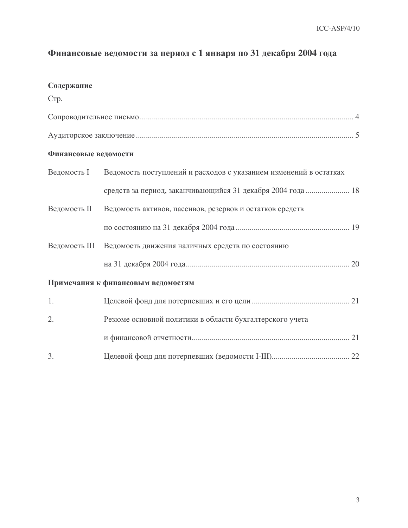# Финансовые ведомости за период с 1 января по 31 декабря 2004 года

## Содержание

| Стр.                 |                                                                   |
|----------------------|-------------------------------------------------------------------|
|                      |                                                                   |
|                      |                                                                   |
| Финансовые ведомости |                                                                   |
| Ведомость І          | Ведомость поступлений и расходов с указанием изменений в остатках |
|                      | средств за период, заканчивающийся 31 декабря 2004 года  18       |
| Ведомость II         | Ведомость активов, пассивов, резервов и остатков средств          |
|                      |                                                                   |
| Ведомость III        | Ведомость движения наличных средств по состоянию                  |
|                      |                                                                   |
|                      | Примечания к финансовым ведомостям                                |
| 1.                   |                                                                   |
| 2.                   | Резюме основной политики в области бухгалтерского учета           |
|                      |                                                                   |
| 3.                   |                                                                   |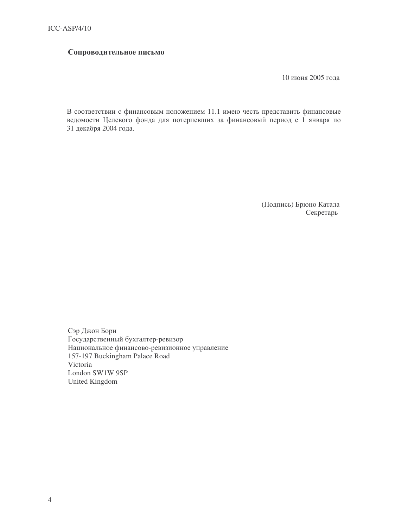#### Сопроводительное письмо

10 июня 2005 года

В соответствии с финансовым положением 11.1 имею честь представить финансовые ведомости Целевого фонда для потерпевших за финансовый период с 1 января по 31 декабря 2004 года.

> (Подпись) Брюно Катала Секретарь

Сэр Джон Борн Государственный бухгалтер-ревизор Национальное финансово-ревизионное управление 157-197 Buckingham Palace Road Victoria London SW1W 9SP United Kingdom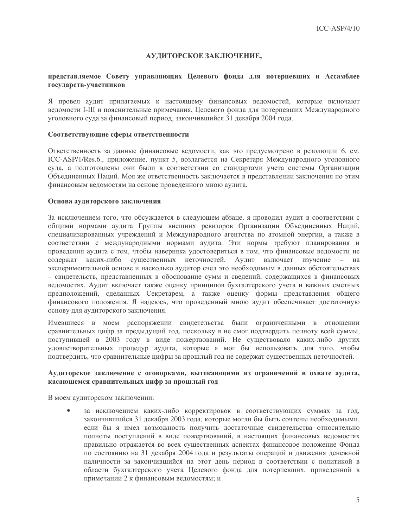#### АУДИТОРСКОЕ ЗАКЛЮЧЕНИЕ,

#### представляемое Совету управляющих Целевого фонда для потерпевших и Ассамблее государств-участников

Я провел аудит прилагаемых к настоящему финансовых ведомостей, которые включают ведомости I-III и пояснительные примечания, Целевого фонда для потерпевших Международного уголовного суда за финансовый период, закончившийся 31 декабря 2004 года.

#### Соответствующие сферы ответственности

Ответственность за данные финансовые ведомости, как это предусмотрено в резолюции 6, см. ICC-ASP/1/Res.6., приложение, пункт 5, возлагается на Секретаря Международного уголовного суда, а подготовлены они были в соответствии со стандартами учета системы Организации Объединенных Наций. Моя же ответственность заключается в представлении заключения по этим финансовым ведомостям на основе проведенного мною аудита.

#### Основа аудиторского заключения

За исключением того, что обсуждается в следующем абзаце, я проводил аудит в соответствии с общими нормами аудита Группы внешних ревизоров Организации Объединенных Наций, специализированных учреждений и Международного агентства по атомной энергии, а также в соответствии с международными нормами аудита. Эти нормы требуют планирования и проведения аудита с тем, чтобы наверняка удостовериться в том, что финансовые ведомости не содержат каких-либо существенных неточностей. Аудит включает изучение  $-$  Ha экспериментальной основе и насколько аудитор счел это необходимым в данных обстоятельствах - свидетельств, представленных в обоснование сумм и сведений, содержащихся в финансовых ведомостях. Аудит включает также оценку принципов бухгалтерского учета и важных сметных предположений, сделанных Секретарем, а также оценку формы представления общего финансового положения. Я надеюсь, что проведенный мною аудит обеспечивает достаточную основу для аудиторского заключения.

Имевшиеся в моем распоряжении свидетельства были ограниченными в отношении сравнительных цифр за предыдущий год, поскольку я не смог подтвердить полноту всей суммы, поступившей в 2003 году в виде пожертвований. Не существовало каких-либо других удовлетворительных процедур аудита, которые я мог бы использовать для того, чтобы подтвердить, что сравнительные цифры за прошлый год не содержат существенных неточностей.

#### Аудиторское заключение с оговорками, вытекающими из ограничений в охвате аудита, касающемся сравнительных цифр за прошлый год

В моем аудиторском заключении:

за исключением каких-либо корректировок в соответствующих суммах за год, закончившийся 31 декабря 2003 года, которые могли бы быть сочтены необходимыми, если бы я имел возможность получить достаточные свидетельства относительно полноты поступлений в виде пожертвований, в настоящих финансовых ведомостях правильно отражается во всех существенных аспектах финансовое положение Фонда по состоянию на 31 декабря 2004 года и результаты операций и движения денежной наличности за закончившийся на этот день период в соответствии с политикой в области бухгалтерского учета Целевого фонда для потерпевших, приведенной в примечании 2 к финансовым ведомостям; и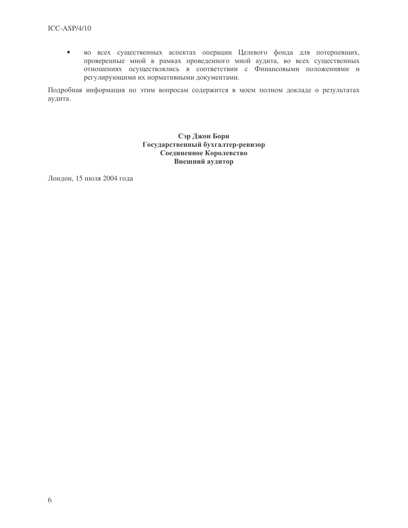во всех существенных аспектах операции Целевого фонда для потерпевших,  $\bullet$ проверенные мной в рамках проведенного мной аудита, во всех существенных отношениях осуществлялись в соответствии с Финансовыми положениями и регулирующими их нормативными документами.

Подробная информация по этим вопросам содержится в моем полном докладе о результатах аудита.

> Сэр Джон Борн Государственный бухгалтер-ревизор Соединенное Королевство Внешний аудитор

Лондон, 15 июля 2004 года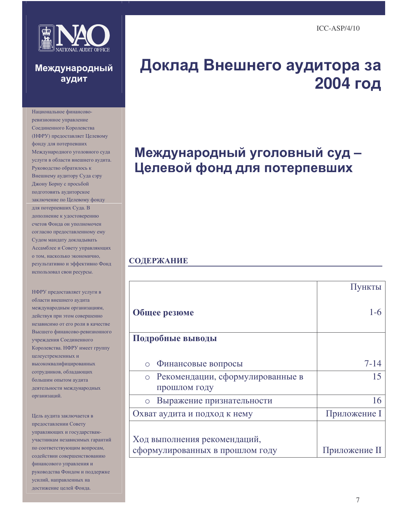

## Международный аудит

Национальное финансоворевизионное управление Соединенного Королевства (НФРУ) предоставляет Целевому фонду для потерпевших Международного уголовного суда услуги в области внешнего аудита. Руководство обратилось к Внешнему аудитору Суда сэру Джону Борну с просьбой подготовить аудиторское заключение по Целевому фонду для потерпевших Суда. В дополнение к удостоверению счетов Фонда он уполномочен согласно предоставленному ему Судом мандату докладывать Ассамблее и Совету управляющих о том, насколько экономично. результативно и эффективно Фонд использовал свои ресурсы.

НФРУ предоставляет услуги в области внешнего аудита международным организациям, действуя при этом совершенно независимо от его роли в качестве Высшего финансово-ревизионного учреждения Соединенного Королевства. НФРУ имеет группу целеустремленных и высококвалифицированных сотрудников, обладающих большим опытом аудита деятельности международных организаций.

Цель аудита заключается в предоставлении Совету управляющих и государствамучастникам независимых гарантий по соответствующим вопросам, содействии совершенствованию финансового управления и руководства Фондом и поддержке усилий, направленных на достижение целей Фонда.

# Доклад Внешнего аудитора за 2004 год

# Международный уголовный суд -Целевой фонд для потерпевших

## **СОДЕРЖАНИЕ**

|                                                                 |                                  | Пункты        |
|-----------------------------------------------------------------|----------------------------------|---------------|
| Общее резюме                                                    |                                  |               |
| Подробные выводы                                                |                                  |               |
|                                                                 |                                  |               |
| Финансовые вопросы<br>$\bigcirc$                                |                                  | $7 - 14$      |
| $\circ$                                                         | Рекомендации, сформулированные в | 15            |
| прошлом году                                                    |                                  |               |
| Выражение признательности<br>$\circ$                            |                                  | 16            |
| Охват аудита и подход к нему                                    |                                  | Приложение I  |
| Ход выполнения рекомендаций,<br>сформулированных в прошлом году |                                  | Приложение 11 |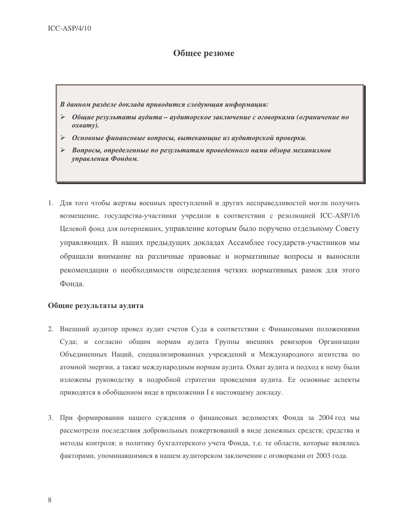## Общее резюме

- В данном разделе доклада приводится следующая информация:
- $\triangleright$  Общие результаты аудита аудиторское заключение с оговорками (ограничение по  $ox\epsilon amy)$ .
- $\triangleright$  Основные финансовые вопросы, вытекающие из аудиторской проверки.
- $\triangleright$  Вопросы, определенные по результатам проведенного нами обзора механизмов управления Фондом.
- 1. Для того чтобы жертвы военных преступлений и других несправедливостей могли получить возмещение, государства-участники учредили в соответствии с резолюцией ICC-ASP/1/6 Целевой фонд для потерпевших, управление которым было поручено отдельному Совету управляющих. В наших предыдущих докладах Ассамблее государств-участников мы обращали внимание на различные правовые и нормативные вопросы и выносили рекомендации о необходимости определения четких нормативных рамок для этого Фонда.

#### Общие результаты аудита

- 2. Внешний аудитор провел аудит счетов Суда в соответствии с Финансовыми положениями Суда; и согласно общим нормам аудита Группы внешних ревизоров Организации Объединенных Наций, специализированных учреждений и Международного агентства по атомной энергии, а также международным нормам аудита. Охват аудита и подход к нему были изложены руководству в подробной стратегии проведения аудита. Ее основные аспекты приводятся в обобщенном виде в приложении I к настоящему докладу.
- 3. При формировании нашего суждения о финансовых ведомостях Фонда за 2004 год мы рассмотрели последствия добровольных пожертвований в виде денежных средств; средства и методы контроля; и политику бухгалтерского учета Фонда, т.е. те области, которые являлись факторами, упоминавшимися в нашем аудиторском заключении с оговорками от 2003 года.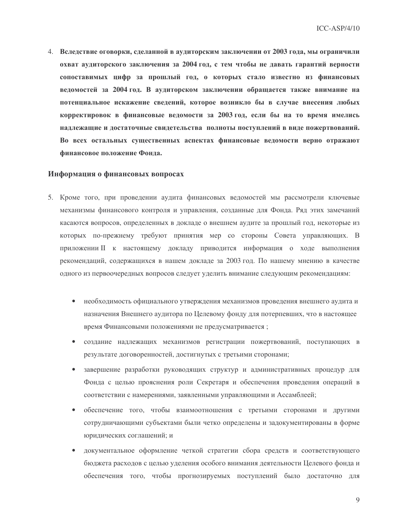4. Вследствие оговорки, сделанной в аудиторским заключении от 2003 года, мы ограничили охват аудиторского заключения за 2004 год, с тем чтобы не давать гарантий верности сопоставимых цифр за прошлый год, о которых стало известно из финансовых ведомостей за 2004 год. В аудиторском заключении обращается также внимание на потенциальное искажение сведений, которое возникло бы в случае внесения любых корректировок в финансовые ведомости за 2003 год, если бы на то время имелись надлежащие и достаточные свидетельства полноты поступлений в виде пожертвований. Во всех остальных существенных аспектах финансовые ведомости верно отражают финансовое положение Фонда.

#### Информация о финансовых вопросах

- 5. Кроме того, при проведении аудита финансовых ведомостей мы рассмотрели ключевые механизмы финансового контроля и управления, созданные для Фонда. Ряд этих замечаний касаются вопросов, определенных в докладе о внешнем аудите за прошлый год, некоторые из которых по-прежнему требуют принятия мер со стороны Совета управляющих. В приложении II к настоящему докладу приводится информация о ходе выполнения рекомендаций, содержащихся в нашем докладе за 2003 год. По нашему мнению в качестве одного из первоочередных вопросов следует уделить внимание следующим рекомендациям:
	- необходимость официального утверждения механизмов проведения внешнего аудита и  $\bullet$ назначения Внешнего аудитора по Целевому фонду для потерпевших, что в настоящее время Финансовыми положениями не предусматривается;
	- создание надлежащих механизмов регистрации пожертвований, поступающих в  $\bullet$ результате договоренностей, достигнутых с третьими сторонами;
	- $\bullet$ завершение разработки руководящих структур и административных процедур для Фонда с целью прояснения роли Секретаря и обеспечения проведения операций в соответствии с намерениями, заявленными управляющими и Ассамблеей;
	- обеспечение того, чтобы взаимоотношения с третьими сторонами и другими сотрудничающими субъектами были четко определены и задокументированы в форме юридических соглашений; и
	- документальное оформление четкой стратегии сбора средств и соответствующего бюджета расходов с целью уделения особого внимания деятельности Целевого фонда и обеспечения того, чтобы прогнозируемых поступлений было достаточно для

9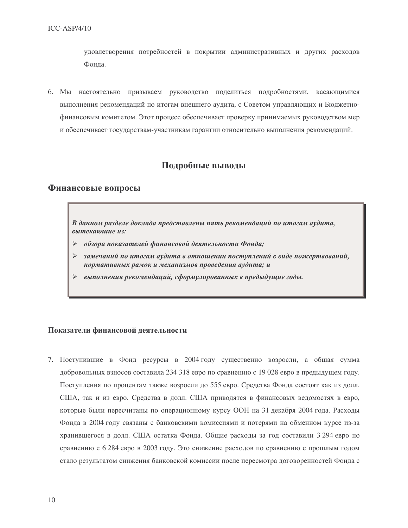удовлетворения потребностей в покрытии административных и других расходов Фонда.

6. Мы настоятельно призываем руководство поделиться подробностями, касающимися выполнения рекомендаций по итогам внешнего аудита, с Советом управляющих и Бюджетнофинансовым комитетом. Этот процесс обеспечивает проверку принимаемых руководством мер и обеспечивает государствам-участникам гарантии относительно выполнения рекомендаций.

## Подробные выводы

### Финансовые вопросы

В данном разделе доклада представлены пять рекомендаций по итогам аудита, вытекающие из:

- > обзора показателей финансовой деятельности Фонда;
- $\triangleright$  замечаний по итогам аудита в отношении поступлений в виде пожертвований, нормативных рамок и механизмов проведения аудита; и
- $\triangleright$  выполнения рекомендаций, сформулированных в предыдущие годы.

#### Показатели финансовой деятельности

7. Поступившие в Фонд ресурсы в 2004 году существенно возросли, а общая сумма добровольных взносов составила 234 318 евро по сравнению с 19 028 евро в предыдущем году. Поступления по процентам также возросли до 555 евро. Средства Фонда состоят как из долл. США, так и из евро. Средства в долл. США приводятся в финансовых ведомостях в евро, которые были пересчитаны по операционному курсу ООН на 31 декабря 2004 года. Расходы Фонда в 2004 году связаны с банковскими комиссиями и потерями на обменном курсе из-за хранившегося в долл. США остатка Фонда. Общие расходы за год составили 3 294 евро по сравнению с 6 284 евро в 2003 году. Это снижение расходов по сравнению с прошлым годом стало результатом снижения банковской комиссии после пересмотра договоренностей Фонда с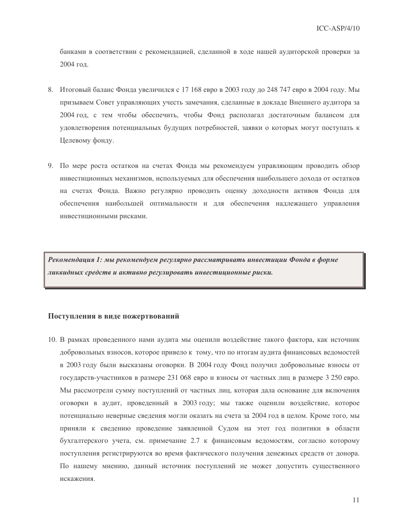банками в соответствии с рекомендацией, сделанной в ходе нашей аудиторской проверки за 2004 год.

- 8. Итоговый баланс Фонда увеличился с 17 168 евро в 2003 году до 248 747 евро в 2004 году. Мы призываем Совет управляющих учесть замечания, сделанные в докладе Внешнего аудитора за 2004 год, с тем чтобы обеспечить, чтобы Фонд располагал достаточным балансом для удовлетворения потенциальных будущих потребностей, заявки о которых могут поступать к Целевому фонду.
- 9. По мере роста остатков на счетах Фонда мы рекомендуем управляющим проводить обзор инвестиционных механизмов, используемых для обеспечения наибольшего дохода от остатков на счетах Фонда. Важно регулярно проводить оценку доходности активов Фонда для обеспечения наибольшей оптимальности и для обеспечения надлежащего управления инвестиционными рисками.

Рекомендация 1: мы рекомендуем регулярно рассматривать инвестиции Фонда в форме ликвидных средств и активно регулировать инвестиционные риски.

#### Поступления в виде пожертвований

10. В рамках проведенного нами аудита мы оценили воздействие такого фактора, как источник добровольных взносов, которое привело к тому, что по итогам аудита финансовых ведомостей в 2003 году были высказаны оговорки. В 2004 году Фонд получил добровольные взносы от государств-участников в размере 231 068 евро и взносы от частных лиц в размере 3 250 евро. Мы рассмотрели сумму поступлений от частных лиц, которая дала основание для включения оговорки в аудит, проведенный в 2003 году; мы также оценили воздействие, которое потенциально неверные сведения могли оказать на счета за 2004 год в целом. Кроме того, мы приняли к сведению проведение заявленной Судом на этот год политики в области бухгалтерского учета, см. примечание 2.7 к финансовым ведомостям, согласно которому поступления регистрируются во время фактического получения денежных средств от донора. По нашему мнению, данный источник поступлений не может допустить существенного искажения.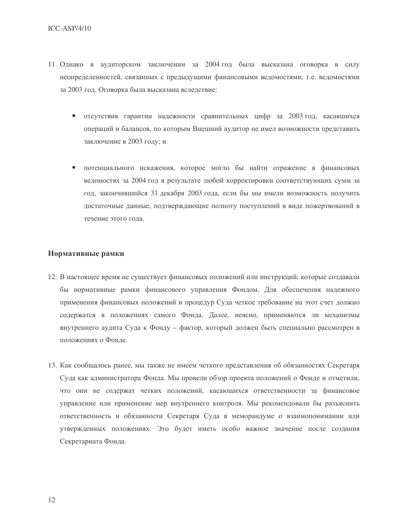- 11. Однако в аудиторском заключении за 2004 год была высказана оговорка в силу неопределенностей, связанных с предыдущими финансовыми ведомостями, т.е. ведомостями за 2003 год. Оговорка была высказана вследствие:
	- $\bullet$ отсутствия гарантии надежности сравнительных цифр за 2003 год, касавшихся операций и балансов, по которым Внешний аудитор не имел возможности представить заключение в 2003 году; и
	- потенциального искажения, которое могло бы найти отражение в финансовых  $\bullet$ ведомостях за 2004 год в результате любой корректировки соответствующих сумм за год, закончившийся 31 декабря 2003 года, если бы мы имели возможность получить достаточные данные, подтверждающие полноту поступлений в виде пожертвований в течение этого года.

#### Нормативные рамки

- 12. В настоящее время не существует финансовых положений или инструкций, которые создавали бы нормативные рамки финансового управления Фондом. Для обеспечения надежного применения финансовых положений и процедур Суда четкое требование на этот счет должно содержатся в положениях самого Фонда. Далее, неясно, применяются ли механизмы внутреннего аудита Суда к Фонду – фактор, который должен быть специально рассмотрен в положениях о Фонде.
- 13. Как сообщалось ранее, мы также не имеем четкого представления об обязанностях Секретаря Суда как администратора Фонда. Мы провели обзор проекта положений о Фонде и отметили, что они не содержат четких положений, касающихся ответственности за финансовое управление или применение мер внутреннего контроля. Мы рекомендовали бы разъяснить ответственность и обязанности Секретаря Суда в меморандуме о взаимопонимании или утвержденных положениях. Это будет иметь особо важное значение после создания Секретариата Фонда.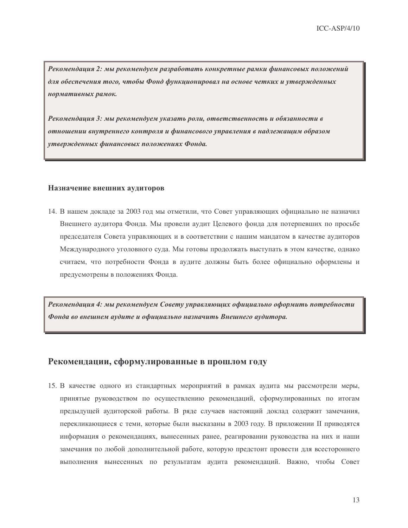Рекомендация 2: мы рекомендуем разработать конкретные рамки финансовых положений для обеспечения того, чтобы Фонд функционировал на основе четких и утвержденных нормативных рамок.

Рекомендация 3: мы рекомендуем указать роли, ответственность и обязанности в отношении внутреннего контроля и финансового управления в надлежащим образом утвержденных финансовых положениях Фонда.

#### Назначение внешних аудиторов

14. В нашем докладе за 2003 год мы отметили, что Совет управляющих официально не назначил Внешнего аудитора Фонда. Мы провели аудит Целевого фонда для потерпевших по просьбе председателя Совета управляющих и в соответствии с нашим мандатом в качестве аудиторов Международного уголовного суда. Мы готовы продолжать выступать в этом качестве, однако считаем, что потребности Фонда в аудите должны быть более официально оформлены и предусмотрены в положениях Фонда.

Рекомендация 4: мы рекомендуем Совету управляющих официально оформить потребности Фонда во внешнем аудите и официально назначить Внешнего аудитора.

### Рекомендации, сформулированные в прошлом году

15. В качестве одного из стандартных мероприятий в рамках аудита мы рассмотрели меры, принятые руководством по осуществлению рекомендаций, сформулированных по итогам предыдущей аудиторской работы. В ряде случаев настоящий доклад содержит замечания, перекликающиеся с теми, которые были высказаны в 2003 году. В приложении II приводятся информация о рекомендациях, вынесенных ранее, реагировании руководства на них и наши замечания по любой дополнительной работе, которую предстоит провести для всестороннего выполнения вынесенных по результатам аудита рекомендаций. Важно, чтобы Совет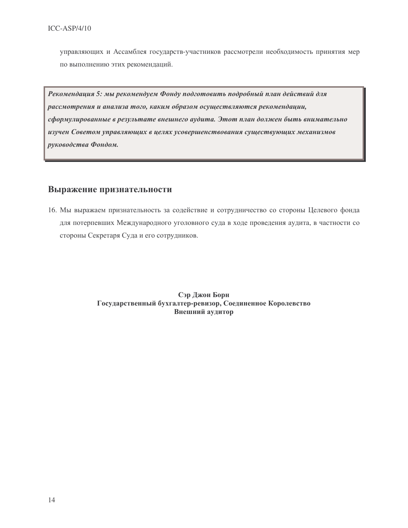управляющих и Ассамблея государств-участников рассмотрели необходимость принятия мер по выполнению этих рекомендаций.

Рекомендация 5: мы рекомендуем Фонду подготовить подробный план действий для рассмотрения и анализа того, каким образом осуществляются рекомендации, сформулированные в результате внешнего аудита. Этот план должен быть внимательно изучен Советом управляющих в целях усовершенствования существующих механизмов руководства Фондом.

## Выражение признательности

16. Мы выражаем признательность за содействие и сотрудничество со стороны Целевого фонда для потерпевших Международного уголовного суда в ходе проведения аудита, в частности со стороны Секретаря Суда и его сотрудников.

> Сэр Джон Борн Государственный бухгалтер-ревизор, Соединенное Королевство Внешний аудитор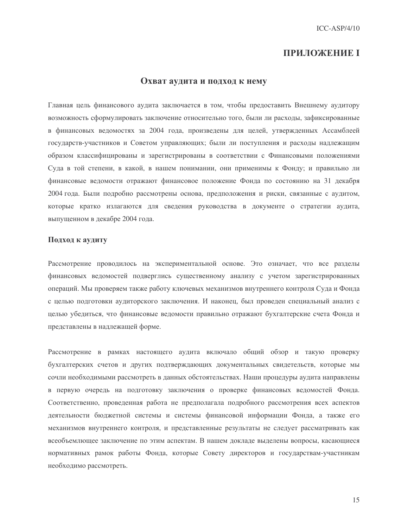## **ПРИЛОЖЕНИЕ І**

#### Охват аудита и подход к нему

Главная цель финансового аудита заключается в том, чтобы предоставить Внешнему аудитору возможность сформулировать заключение относительно того, были ли расходы, зафиксированные в финансовых ведомостях за 2004 года, произведены для целей, утвержденных Ассамблеей государств-участников и Советом управляющих; были ли поступления и расходы надлежащим образом классифицированы и зарегистрированы в соответствии с Финансовыми положениями Суда в той степени, в какой, в нашем понимании, они применимы к Фонду; и правильно ли финансовые ведомости отражают финансовое положение Фонда по состоянию на 31 декабря 2004 года. Были подробно рассмотрены основа, предположения и риски, связанные с аудитом, которые кратко излагаются для сведения руководства в документе о стратегии аудита, выпущенном в декабре 2004 года.

#### Подход к аудиту

Рассмотрение проводилось на экспериментальной основе. Это означает, что все разделы финансовых ведомостей подверглись существенному анализу с учетом зарегистрированных операций. Мы проверяем также работу ключевых механизмов внутреннего контроля Суда и Фонда с целью подготовки аудиторского заключения. И наконец, был проведен специальный анализ с целью убедиться, что финансовые ведомости правильно отражают бухгалтерские счета Фонда и представлены в надлежащей форме.

Рассмотрение в рамках настоящего аудита включало общий обзор и такую проверку бухгалтерских счетов и других подтверждающих документальных свидетельств, которые мы сочли необходимыми рассмотреть в данных обстоятельствах. Наши процедуры аудита направлены в первую очередь на подготовку заключения о проверке финансовых ведомостей Фонда. Соответственно, проведенная работа не предполагала подробного рассмотрения всех аспектов деятельности бюджетной системы и системы финансовой информации Фонда, а также его механизмов внутреннего контроля, и представленные результаты не следует рассматривать как всеобъемлющее заключение по этим аспектам. В нашем докладе выделены вопросы, касающиеся нормативных рамок работы Фонда, которые Совету директоров и государствам-участникам необходимо рассмотреть.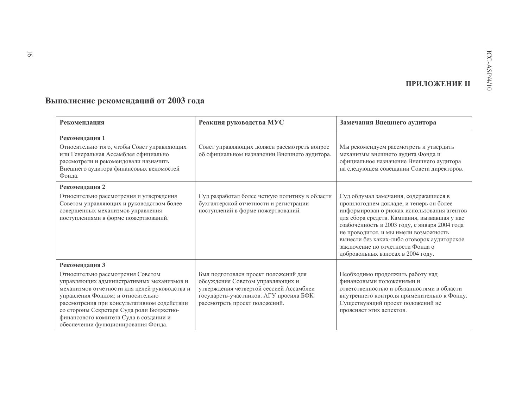## **ПРИЛОЖЕНИЕ II**

#### Рекомендация Реакция руководства МУС Замечания Внешнего аудитора Рекоменлация 1 Относительно того, чтобы Совет управляющих Совет управляющих должен рассмотреть вопрос Мы рекомендуем рассмотреть и утвердить или Генеральная Ассамблея официально об официальном назначении Внешнего аудитора. механизмы внешнего аудита Фонда и рассмотрели и рекомендовали назначить официальное назначение Внешнего аудитора Внешнего аудитора финансовых ведомостей на следующем совещании Совета директоров. Фонда. Рекомендация 2 Относительно рассмотрения и утверждения Суд разработал более четкую политику в области Суд обдумал замечания, содержащиеся в Советом управляющих и руководством более бухгалтерской отчетности и регистрации прошлогоднем докладе, и теперь он более информирован о рисках использования агентов совершенных механизмов управления поступлений в форме пожертвований. для сбора средств. Кампания, вызвавшая у нас поступлениями в форме пожертвований. озабоченность в 2003 году, с января 2004 года не проводится, и мы имели возможность вынести без каких-либо оговорок аудиторское заключение по отчетности Фонда о добровольных взносах в 2004 году. Рекомендация 3 Относительно рассмотрения Советом Был подготовлен проект положений для Необходимо продолжить работу над обсуждения Советом управляющих и управляющих административных механизмов и финансовыми положениями и механизмов отчетности для целей руководства и утверждения четвертой сессией Ассамблеи ответственностью и обязанностями в области управления Фондом; и относительно государств-участников. АГУ просила БФК внутреннего контроля применительно к Фонду. рассмотрения при консультативном содействии рассмотреть проект положений. Существующий проект положений не со стороны Секретаря Суда роли Бюджетнопроясняет этих аспектов. финансового комитета Суда в создании и обеспечении функционирования Фонда.

### Выполнение рекомендаций от 2003 года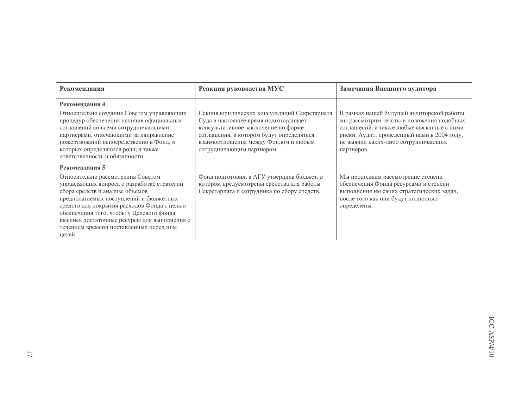| Рекомендация                                                                                                                                                                                                                                                                                                                                                                   | Реакция руководства МУС                                                                                                                                                                                                                       | Замечания Внешнего аудитора                                                                                                                                                                                                              |
|--------------------------------------------------------------------------------------------------------------------------------------------------------------------------------------------------------------------------------------------------------------------------------------------------------------------------------------------------------------------------------|-----------------------------------------------------------------------------------------------------------------------------------------------------------------------------------------------------------------------------------------------|------------------------------------------------------------------------------------------------------------------------------------------------------------------------------------------------------------------------------------------|
| Рекомендация 4<br>Относительно создания Советом управляющих<br>процедур обеспечения наличия официальных<br>соглашений со всеми сотрудничающими<br>партнерами, отвечающими за направление<br>пожертвований непосредственно в Фонд, в<br>которых определяются роли, а также<br>ответственность и обязанности.                                                                    | Секция юридических консультаций Секретариата<br>Суда в настоящее время подготавливает<br>консультативное заключение по форме<br>соглашения, в котором будут определяться<br>взаимоотношения между Фондом и любым<br>сотрудничающим партнером. | В рамках нашей будущей аудиторской работы<br>мы рассмотрим тексты и положения подобных<br>соглашений, а также любые связанные с ними<br>риски. Аудит, проведенный нами в 2004 году,<br>не выявил каких-либо сотрудничающих<br>партнеров. |
| Рекомендация 5<br>Относительно рассмотрения Советом<br>управляющих вопроса о разработке стратегии<br>сбора средств и анализе объемов<br>предполагаемых поступлений и бюджетных<br>средств для покрытия расходов Фонда с целью<br>обеспечения того, чтобы у Целевого фонда<br>имелись достаточные ресурсы для выполнения с<br>течением времени поставленных перед ним<br>целей. | Фонд подготовил, а АГУ утвердила бюджет, в<br>котором предусмотрены средства для работы<br>Секретариата и сотрудника по сбору средств.                                                                                                        | Мы продолжим рассмотрение степени<br>обеспечения Фонда ресурсами и степени<br>выполнения им своих стратегических задач,<br>после того как они будут полностью<br>определены.                                                             |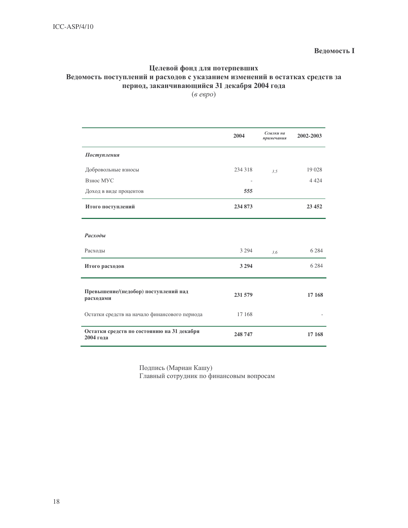## Целевой фонд для потерпевших Ведомость поступлений и расходов с указанием изменений в остатках средств за период, заканчивающийся 31 декабря 2004 года

 $(eeepo)$ 

|                                                         | 2004    | Ссылки на<br>примечания | 2002-2003 |
|---------------------------------------------------------|---------|-------------------------|-----------|
| Поступления                                             |         |                         |           |
| Добровольные взносы                                     | 234 318 | 3.5                     | 19 0 28   |
| Взнос МУС                                               |         |                         | 4 4 2 4   |
| Доход в виде процентов                                  | 555     |                         |           |
| Итого поступлений                                       | 234 873 |                         | 23 452    |
| Расходы<br>Расходы                                      | 3 2 9 4 | 3.6                     | 6 2 8 4   |
| Итого расходов                                          | 3 2 9 4 |                         | 6 2 8 4   |
| Превышение/(недобор) поступлений над<br>расходами       | 231 579 |                         | 17 168    |
| Остатки средств на начало финансового периода           | 17 168  |                         |           |
| Остатки средств по состоянию на 31 декабря<br>2004 года | 248 747 |                         | 17 168    |

Подпись (Мариан Кашу) Главный сотрудник по финансовым вопросам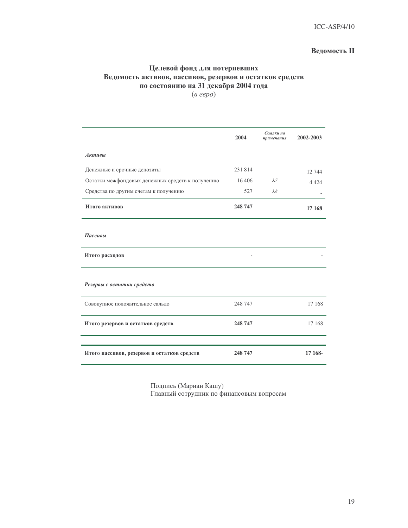#### Ведомость II

#### Целевой фонд для потерпевших Ведомость активов, пассивов, резервов и остатков средств по состоянию на 31 декабря 2004 года  $($ e $e$ e $po)$

|                                                  | 2004    | Ссылки на<br>примечания | 2002-2003 |
|--------------------------------------------------|---------|-------------------------|-----------|
| Активы                                           |         |                         |           |
| Денежные и срочные депозиты                      | 231 814 |                         | 12744     |
| Остатки межфондовых денежных средств к получению | 16 40 6 | 3.7                     | 4 4 2 4   |
| Средства по другим счетам к получению            | 527     | 3.8                     |           |
| Итого активов                                    | 248 747 |                         | 17 168    |
| Пассивы                                          |         |                         |           |
| Итого расходов                                   |         |                         |           |
| Резервы с остатки средств                        |         |                         |           |
| Совокупное положительное сальдо                  | 248 747 |                         | 17 168    |
| Итого резервов и остатков средств                | 248 747 |                         | 17 168    |
|                                                  |         |                         |           |
| Итого пассивов, резервов и остатков средств      | 248 747 |                         | 17 168-   |

Подпись (Мариан Кашу) Главный сотрудник по финансовым вопросам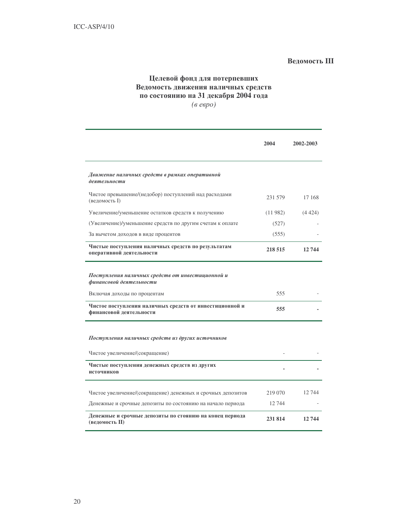#### Ведомость III

## Целевой фонд для потерпевших Ведомость движения наличных средств по состоянию на 31 декабря 2004 года

(в евро)

|                                                                                                            | 2004    | 2002-2003 |
|------------------------------------------------------------------------------------------------------------|---------|-----------|
| Движение наличных средств в рамках оперативной<br>деятельности                                             |         |           |
| Чистое превышение/(недобор) поступлений над расходами<br>(ведомость I)                                     | 231 579 | 17 168    |
| Увеличение/уменьшение остатков средств к получению                                                         | (11982) | (4424)    |
| (Увеличение)/уменьшение средств по другим счетам к оплате                                                  | (527)   |           |
| За вычетом доходов в виде процентов                                                                        | (555)   |           |
| Чистые поступления наличных средств по результатам<br>оперативной деятельности                             | 218 515 | 12744     |
| Поступления наличных средств от инвестиционной и<br>финансовой деятельности<br>Включая доходы по процентам | 555     |           |
| Чистое поступления наличных средств от инвестиционной и<br>финансовой деятельности                         | 555     |           |
| Поступления наличных средств из других источников<br>Чистое увеличение/(сокращение)                        |         |           |
| Чистые поступления денежных средств из других<br><b>ИСТОЧНИКОВ</b>                                         |         |           |
| Чистое увеличение/(сокращение) денежных и срочных депозитов                                                | 219 070 | 12 744    |
| Денежные и срочные депозиты по состоянию на начало периода                                                 | 12744   |           |
| Денежные и срочные депозиты по стоянию на конец периода<br>(ведомость II)                                  | 231 814 | 12744     |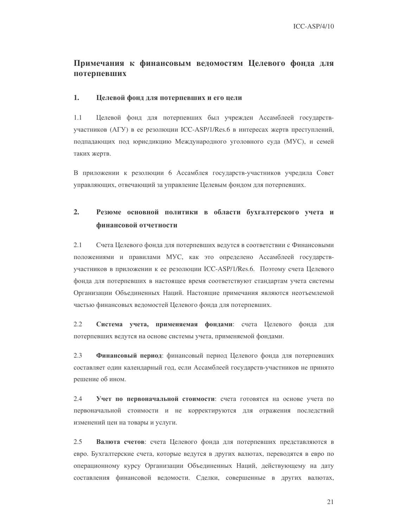## Примечания к финансовым ведомостям Целевого фонда для потерпевших

#### $1<sub>1</sub>$ Целевой фонд для потерпевших и его цели

 $1.1$ Целевой фонд для потерпевших был учрежден Ассамблеей государствучастников (AГУ) в ее резолюции ICC-ASP/1/Res.6 в интересах жертв преступлений, подпадающих под юрисдикцию Международного уголовного суда (МУС), и семей таких жертв.

В приложении к резолюции 6 Ассамблея государств-участников учредила Совет управляющих, отвечающий за управление Целевым фондом для потерпевших.

#### $2.$ Резюме основной политики в области бухгалтерского учета и финансовой отчетности

 $2.1$ Счета Целевого фонда для потерпевших ведутся в соответствии с Финансовыми положениями и правилами МУС, как это определено Ассамблеей государствучастников в приложении к ее резолюции ICC-ASP/1/Res.6. Поэтому счета Целевого фонда для потерпевших в настоящее время соответствуют стандартам учета системы Организации Объединенных Наций. Настоящие примечания являются неотъемлемой частью финансовых ведомостей Целевого фонда для потерпевших.

 $2.2$ Система учета, применяемая фондами: счета Целевого фонда для потерпевших ведутся на основе системы учета, применяемой фондами.

 $2.3$ Финансовый период: финансовый период Целевого фонда для потерпевших составляет один календарный год, если Ассамблеей государств-участников не принято решение об ином.

 $2.4$ Учет по первоначальной стоимости: счета готовятся на основе учета по первоначальной стоимости и не корректируются для отражения последствий изменений цен на товары и услуги.

 $2.5$ Валюта счетов: счета Целевого фонда для потерпевших представляются в евро. Бухгалтерские счета, которые ведутся в других валютах, переводятся в евро по операционному курсу Организации Объединенных Наций, действующему на дату составления финансовой ведомости. Сделки, совершенные в других валютах,

 $21$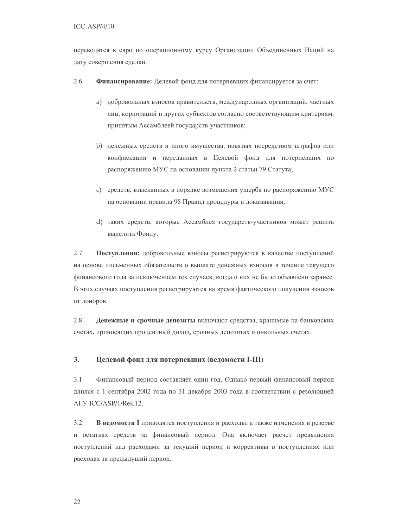переводятся в евро по операционному курсу Организации Объединенных Наций на дату совершения сделки.

- $2.6$ Финансирование: Целевой фонд для потерпевших финансируется за счет:
	- а) добровольных взносов правительств, международных организаций, частных лиц, корпораций и других субъектов согласно соответствующим критериям, принятым Ассамблеей государств-участников;
	- b) денежных средств и иного имущества, изъятых посредством штрафов или конфискации и переданных в Целевой фонд для потерпевших по распоряжению МУС на основании пункта 2 статьи 79 Статута;
	- с) средств, взысканных в порядке возмещения ущерба по распоряжению МУС на основании правила 98 Правил процедуры и доказывания;
	- d) таких средств, которые Ассамблея государств-участников может решить выделить Фонду.

 $2.7$ Поступления: добровольные взносы регистрируются в качестве поступлений на основе письменных обязательств о выплате денежных взносов в течение текущего финансового года за исключением тех случаев, когда о них не было объявлено заранее. В этих случаях поступления регистрируются на время фактического получения взносов от доноров.

2.8 Денежные и срочные депозиты включают средства, хранимые на банковских счетах, приносящих процентный доход, срочных депозитах и онкольных счетах.

#### $3.$ Целевой фонд для потерпевших (ведомости I-III)

 $3.1$ Финансовый период составляет один год. Однако первый финансовый период длился с 1 сентября 2002 года по 31 декабря 2003 года в соответствии с резолюцией AFY ICC/ASP/1/Res.12.

 $3.2$ В ведомости I приводятся поступления и расходы, а также изменения в резерве и остатках средств за финансовый период. Она включает расчет превышения поступлений над расходами за текущий период и коррективы в поступлениях или расходах за предыдущий период.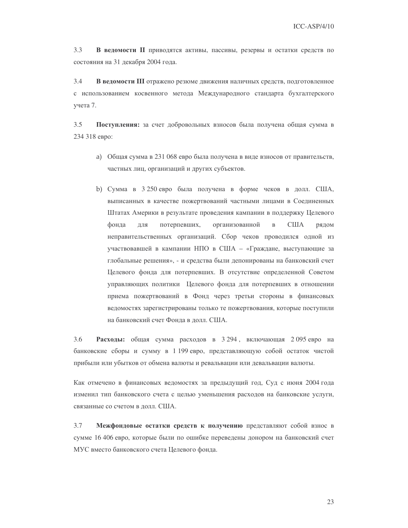$3.3$ В ведомости II приводятся активы, пассивы, резервы и остатки средств по состояния на 31 декабря 2004 года.

 $3.4$ В ведомости III отражено резюме движения наличных средств, подготовленное с использованием косвенного метода Международного стандарта бухгалтерского учета 7.

 $3.5$ Поступления: за счет добровольных взносов была получена общая сумма в 234 318 евро:

- а) Общая сумма в 231 068 евро была получена в виде взносов от правительств, частных лиц, организаций и других субъектов.
- b) Сумма в 3250 евро была получена в форме чеков в долл. США, выписанных в качестве пожертвований частными лицами в Соединенных Штатах Америки в результате проведения кампании в поддержку Целевого **CIIIA** фонда ЛЛЯ потерпевших, организованной  $\overline{B}$ рядом неправительственных организаций. Сбор чеков проводился одной из участвовавшей в кампании НПО в США - «Граждане, выступающие за глобальные решения», - и средства были депонированы на банковский счет Целевого фонда для потерпевших. В отсутствие определенной Советом управляющих политики Целевого фонда для потерпевших в отношении приема пожертвований в Фонд через третьи стороны в финансовых ведомостях зарегистрированы только те пожертвования, которые поступили на банковский счет Фонда в долл. США.

3.6 Расходы: общая сумма расходов в 3294, включающая 2095 евро на банковские сборы и сумму в 1199 евро, представляющую собой остаток чистой прибыли или убытков от обмена валюты и ревальвации или девальвации валюты.

Как отмечено в финансовых ведомостях за предыдущий год, Суд с июня 2004 года изменил тип банковского счета с целью уменьшения расходов на банковские услуги, связанные со счетом в долл. США.

3.7 Межфондовые остатки средств к получению представляют собой взнос в сумме 16 406 евро, которые были по ошибке переведены донором на банковский счет МУС вместо банковского счета Целевого фонда.